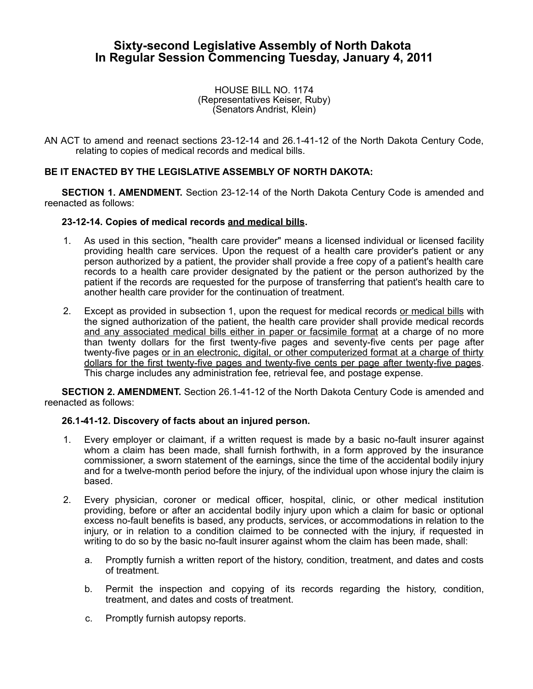## **Sixty-second Legislative Assembly of North Dakota In Regular Session Commencing Tuesday, January 4, 2011**

HOUSE BILL NO. 1174 (Representatives Keiser, Ruby) (Senators Andrist, Klein)

AN ACT to amend and reenact sections 23-12-14 and 26.1-41-12 of the North Dakota Century Code, relating to copies of medical records and medical bills.

## **BE IT ENACTED BY THE LEGISLATIVE ASSEMBLY OF NORTH DAKOTA:**

**SECTION 1. AMENDMENT.** Section 23-12-14 of the North Dakota Century Code is amended and reenacted as follows:

## **23-12-14. Copies of medical records and medical bills.**

- 1. As used in this section, "health care provider" means a licensed individual or licensed facility providing health care services. Upon the request of a health care provider's patient or any person authorized by a patient, the provider shall provide a free copy of a patient's health care records to a health care provider designated by the patient or the person authorized by the patient if the records are requested for the purpose of transferring that patient's health care to another health care provider for the continuation of treatment.
- 2. Except as provided in subsection 1, upon the request for medical records or medical bills with the signed authorization of the patient, the health care provider shall provide medical records and any associated medical bills either in paper or facsimile format at a charge of no more than twenty dollars for the first twenty-five pages and seventy-five cents per page after twenty-five pages or in an electronic, digital, or other computerized format at a charge of thirty dollars for the first twenty-five pages and twenty-five cents per page after twenty-five pages. This charge includes any administration fee, retrieval fee, and postage expense.

**SECTION 2. AMENDMENT.** Section 26.1-41-12 of the North Dakota Century Code is amended and reenacted as follows:

## **26.1-41-12. Discovery of facts about an injured person.**

- 1. Every employer or claimant, if a written request is made by a basic no-fault insurer against whom a claim has been made, shall furnish forthwith, in a form approved by the insurance commissioner, a sworn statement of the earnings, since the time of the accidental bodily injury and for a twelve-month period before the injury, of the individual upon whose injury the claim is based.
- 2. Every physician, coroner or medical officer, hospital, clinic, or other medical institution providing, before or after an accidental bodily injury upon which a claim for basic or optional excess no-fault benefits is based, any products, services, or accommodations in relation to the injury, or in relation to a condition claimed to be connected with the injury, if requested in writing to do so by the basic no-fault insurer against whom the claim has been made, shall:
	- a. Promptly furnish a written report of the history, condition, treatment, and dates and costs of treatment.
	- b. Permit the inspection and copying of its records regarding the history, condition, treatment, and dates and costs of treatment.
	- c. Promptly furnish autopsy reports.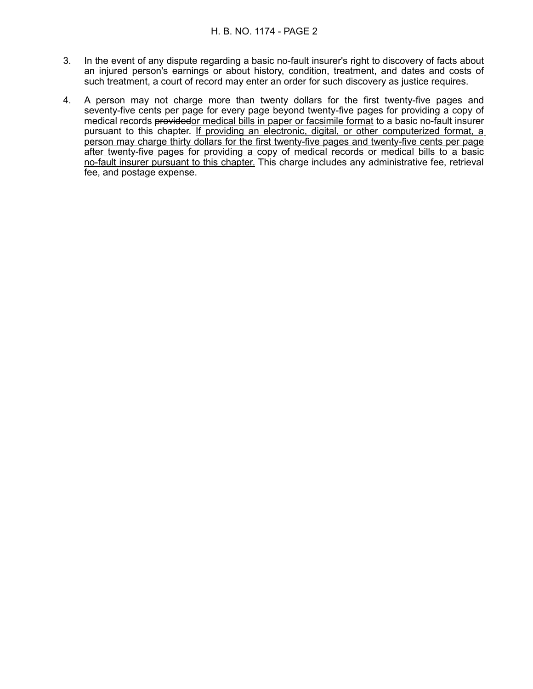- 3. In the event of any dispute regarding a basic no-fault insurer's right to discovery of facts about an injured person's earnings or about history, condition, treatment, and dates and costs of such treatment, a court of record may enter an order for such discovery as justice requires.
- 4. A person may not charge more than twenty dollars for the first twenty-five pages and seventy-five cents per page for every page beyond twenty-five pages for providing a copy of medical records providedor medical bills in paper or facsimile format to a basic no-fault insurer pursuant to this chapter. If providing an electronic, digital, or other computerized format, a person may charge thirty dollars for the first twenty-five pages and twenty-five cents per page after twenty-five pages for providing a copy of medical records or medical bills to a basic no-fault insurer pursuant to this chapter. This charge includes any administrative fee, retrieval fee, and postage expense.